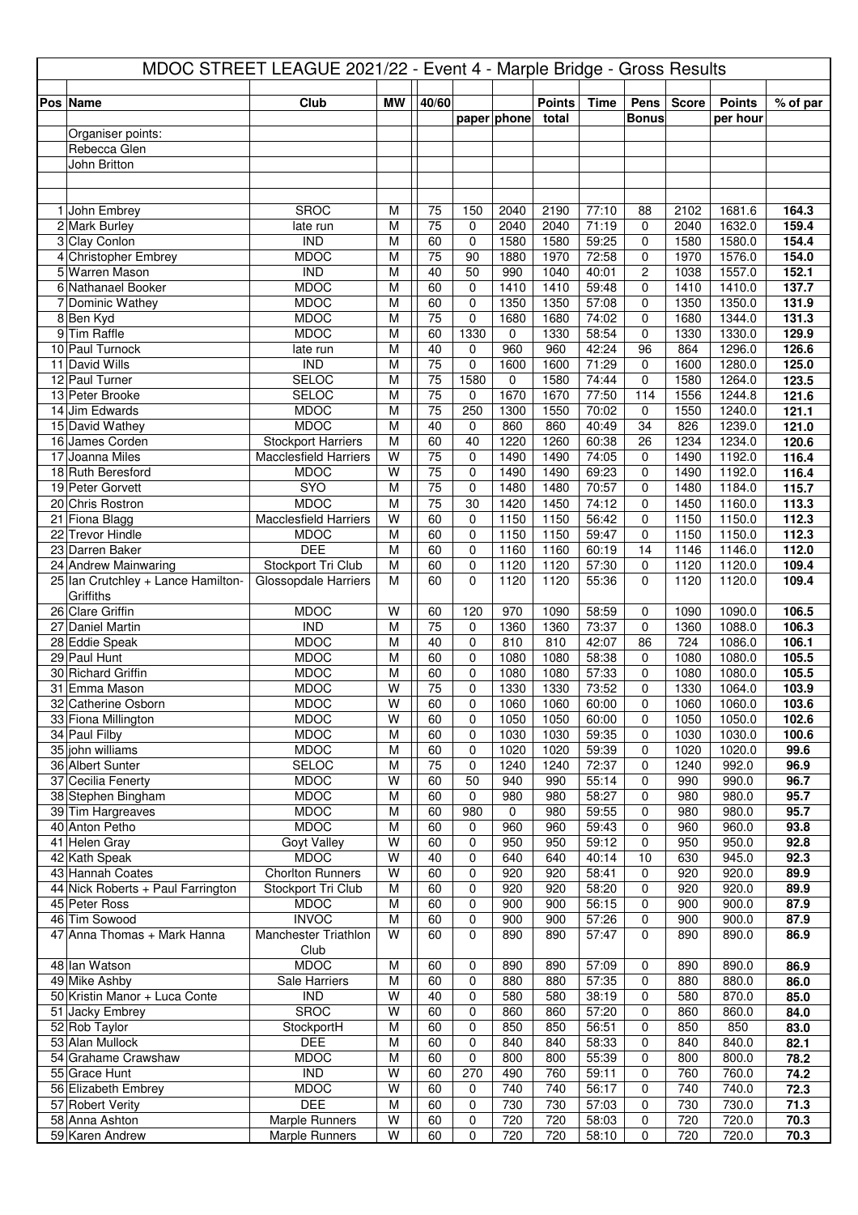| MDOC STREET LEAGUE 2021/22 - Event 4 - Marple Bridge - Gross Results |                                            |                         |                       |                   |              |               |                |                   |              |                  |                |
|----------------------------------------------------------------------|--------------------------------------------|-------------------------|-----------------------|-------------------|--------------|---------------|----------------|-------------------|--------------|------------------|----------------|
| Pos Name                                                             | Club                                       | <b>MW</b>               | 40/60                 |                   |              | <b>Points</b> | <b>Time</b>    | Pens              | <b>Score</b> | <b>Points</b>    | % of par       |
|                                                                      |                                            |                         |                       |                   | paper phone  | total         |                | <b>Bonus</b>      |              | per hour         |                |
| Organiser points:                                                    |                                            |                         |                       |                   |              |               |                |                   |              |                  |                |
| Rebecca Glen                                                         |                                            |                         |                       |                   |              |               |                |                   |              |                  |                |
| John Britton                                                         |                                            |                         |                       |                   |              |               |                |                   |              |                  |                |
|                                                                      |                                            |                         |                       |                   |              |               |                |                   |              |                  |                |
| 1 John Embrey                                                        | <b>SROC</b>                                | M                       | 75                    | 150               | 2040         | 2190          | 77:10          | 88                | 2102         | 1681.6           | 164.3          |
| 2 Mark Burley                                                        | late run                                   | M                       | 75                    | 0                 | 2040         | 2040          | 71:19          | 0                 | 2040         | 1632.0           | 159.4          |
| 3 Clay Conlon                                                        | <b>IND</b>                                 | M                       | 60                    | 0                 | 1580         | 1580          | 59:25          | 0                 | 1580         | 1580.0           | 154.4          |
| 4 Christopher Embrey                                                 | <b>MDOC</b>                                | M                       | 75                    | 90                | 1880         | 1970          | 72:58          | $\Omega$          | 1970         | 1576.0           | 154.0          |
| 5 Warren Mason                                                       | $\overline{IND}$                           | M                       | 40                    | 50                | 990          | 1040          | 40:01          | 2                 | 1038         | 1557.0           | 152.1          |
| 6 Nathanael Booker<br>7 Dominic Wathey                               | <b>MDOC</b><br><b>MDOC</b>                 | M<br>$\overline{M}$     | 60<br>60              | 0<br>$\mathbf 0$  | 1410<br>1350 | 1410<br>1350  | 59:48<br>57:08 | 0<br>$\Omega$     | 1410<br>1350 | 1410.0<br>1350.0 | 137.7<br>131.9 |
| 8Ben Kyd                                                             | <b>MDOC</b>                                | M                       | 75                    | $\mathbf 0$       | 1680         | 1680          | 74:02          | 0                 | 1680         | 1344.0           | 131.3          |
| 9 Tim Raffle                                                         | <b>MDOC</b>                                | M                       | 60                    | 1330              | 0            | 1330          | 58:54          | 0                 | 1330         | 1330.0           | 129.9          |
| 10 Paul Turnock                                                      | late run                                   | M                       | 40                    | 0                 | 960          | 960           | 42:24          | 96                | 864          | 1296.0           | 126.6          |
| 11 David Wills                                                       | $\overline{IND}$                           | M                       | $\overline{75}$       | 0                 | 1600         | 1600          | 71:29          | $\mathbf 0$       | 1600         | 1280.0           | 125.0          |
| 12 Paul Turner                                                       | <b>SELOC</b>                               | M                       | 75                    | 1580              | 0            | 1580          | 74:44          | $\Omega$          | 1580         | 1264.0           | 123.5          |
| 13 Peter Brooke                                                      | <b>SELOC</b>                               | M                       | 75                    | 0                 | 1670         | 1670          | 77:50          | 114               | 1556         | 1244.8           | 121.6          |
| 14 Jim Edwards                                                       | <b>MDOC</b><br><b>MDOC</b>                 | M<br>M                  | 75<br>40              | 250               | 1300         | 1550<br>860   | 70:02<br>40:49 | $\mathbf 0$<br>34 | 1550         | 1240.0           | 121.1          |
| 15 David Wathey<br>16 James Corden                                   | <b>Stockport Harriers</b>                  | M                       | 60                    | 0<br>40           | 860<br>1220  | 1260          | 60:38          | 26                | 826<br>1234  | 1239.0<br>1234.0 | 121.0<br>120.6 |
| 17 Joanna Miles                                                      | <b>Macclesfield Harriers</b>               | W                       | $\overline{75}$       | $\mathbf 0$       | 1490         | 1490          | 74:05          | 0                 | 1490         | 1192.0           | 116.4          |
| 18 Ruth Beresford                                                    | <b>MDOC</b>                                | W                       | 75                    | $\mathbf 0$       | 1490         | 1490          | 69:23          | 0                 | 1490         | 1192.0           | 116.4          |
| 19 Peter Gorvett                                                     | <b>SYO</b>                                 | M                       | $\overline{75}$       | 0                 | 1480         | 1480          | 70:57          | 0                 | 1480         | 1184.0           | 115.7          |
| 20 Chris Rostron                                                     | <b>MDOC</b>                                | M                       | 75                    | 30                | 1420         | 1450          | 74:12          | $\mathbf{0}$      | 1450         | 1160.0           | 113.3          |
| 21 Fiona Blagg                                                       | <b>Macclesfield Harriers</b>               | W                       | 60                    | $\mathbf 0$       | 1150         | 1150          | 56:42          | $\mathbf{0}$      | 1150         | 1150.0           | 112.3          |
| 22 Trevor Hindle                                                     | <b>MDOC</b>                                | M                       | 60                    | $\mathbf 0$       | 1150         | 1150          | 59:47          | $\Omega$          | 1150         | 1150.0           | 112.3          |
| 23 Darren Baker<br>24 Andrew Mainwaring                              | <b>DEE</b>                                 | $\overline{M}$<br>M     | 60<br>60              | 0<br>$\mathbf 0$  | 1160<br>1120 | 1160<br>1120  | 60:19<br>57:30 | 14                | 1146<br>1120 | 1146.0<br>1120.0 | 112.0<br>109.4 |
| 25 Ian Crutchley + Lance Hamilton-                                   | Stockport Tri Club<br>Glossopdale Harriers | M                       | 60                    | $\mathbf{0}$      | 1120         | 1120          | 55:36          | 0<br>$\Omega$     | 1120         | 1120.0           | 109.4          |
| Griffiths                                                            |                                            |                         |                       |                   |              |               |                |                   |              |                  |                |
| 26 Clare Griffin                                                     | <b>MDOC</b>                                | W                       | 60                    | 120               | 970          | 1090          | 58:59          | 0                 | 1090         | 1090.0           | 106.5          |
| 27 Daniel Martin                                                     | <b>IND</b>                                 | M                       | 75                    | 0                 | 1360         | 1360          | 73:37          | $\mathbf 0$       | 1360         | 1088.0           | 106.3          |
| 28 Eddie Speak                                                       | <b>MDOC</b>                                | M                       | 40                    | 0                 | 810          | 810           | 42:07          | 86                | 724          | 1086.0           | 106.1          |
| 29 Paul Hunt                                                         | <b>MDOC</b>                                | M                       | 60                    | 0                 | 1080         | 1080          | 58:38          | $\mathbf 0$       | 1080         | 1080.0           | 105.5          |
| 30 Richard Griffin<br>31 Emma Mason                                  | <b>MDOC</b><br><b>MDOC</b>                 | М<br>$\overline{W}$     | 60<br>$\overline{75}$ | $\mathbf{0}$<br>0 | 1080<br>1330 | 1080<br>1330  | 57:33<br>73:52 | $\Omega$<br>0     | 1080<br>1330 | 1080.0<br>1064.0 | 105.5<br>103.9 |
| 32 Catherine Osborn                                                  | <b>MDOC</b>                                | $\overline{\mathsf{W}}$ | 60                    | $\pmb{0}$         | 1060         | 1060          | 60:00          | 0                 | 1060         | 1060.0           | 103.6          |
| 33 Fiona Millington                                                  | <b>MDOC</b>                                | W                       | 60                    | 0                 | 1050         | 1050          | 60:00          | 0                 | 1050         | 1050.0           | 102.6          |
| 34 Paul Filby                                                        | <b>MDOC</b>                                | M                       | 60                    | 0                 | 1030         | 1030          | 59:35          | 0                 | 1030         | 1030.0           | 100.6          |
| 35 john williams                                                     | <b>MDOC</b>                                | M                       | 60                    | 0                 | 1020         | 1020          | 59:39          | $\mathbf 0$       | 1020         | 1020.0           | 99.6           |
| 36 Albert Sunter                                                     | SELOC                                      | M                       | 75                    | 0                 | 1240         | 1240          | 72:37          | 0                 | 1240         | 992.0            | 96.9           |
| 37 Cecilia Fenerty                                                   | <b>MDOC</b>                                | W                       | 60                    | 50                | 940          | 990           | 55:14          | 0                 | 990          | 990.0            | 96.7           |
| 38 Stephen Bingham<br>39 Tim Hargreaves                              | <b>MDOC</b><br><b>MDOC</b>                 | M<br>M                  | 60<br>60              | 0<br>980          | 980<br>0     | 980<br>980    | 58:27<br>59:55 | 0<br>0            | 980<br>980   | 980.0<br>980.0   | 95.7<br>95.7   |
| 40 Anton Petho                                                       | <b>MDOC</b>                                | M                       | 60                    | 0                 | 960          | 960           | 59:43          | 0                 | 960          | 960.0            | 93.8           |
| 41 Helen Gray                                                        | Goyt Valley                                | W                       | 60                    | 0                 | 950          | 950           | 59:12          | 0                 | 950          | 950.0            | 92.8           |
| 42 Kath Speak                                                        | <b>MDOC</b>                                | W                       | 40                    | 0                 | 640          | 640           | 40:14          | 10                | 630          | 945.0            | 92.3           |
| 43 Hannah Coates                                                     | <b>Chorlton Runners</b>                    | W                       | 60                    | 0                 | 920          | 920           | 58:41          | 0                 | 920          | 920.0            | 89.9           |
| 44 Nick Roberts + Paul Farrington                                    | Stockport Tri Club                         | M                       | 60                    | 0                 | 920          | 920           | 58:20          | 0                 | 920          | 920.0            | 89.9           |
| 45 Peter Ross<br>46 Tim Sowood                                       | <b>MDOC</b><br><b>INVOC</b>                | M<br>M                  | 60                    | 0<br>0            | 900<br>900   | 900<br>900    | 56:15<br>57:26 | 0                 | 900<br>900   | 900.0            | 87.9<br>87.9   |
| 47 Anna Thomas + Mark Hanna                                          | Manchester Triathlon                       | $\overline{W}$          | 60<br>60              | $\Omega$          | 890          | 890           | 57:47          | 0<br>0            | 890          | 900.0<br>890.0   | 86.9           |
|                                                                      | Club                                       |                         |                       |                   |              |               |                |                   |              |                  |                |
| 48 Ian Watson                                                        | <b>MDOC</b>                                | M                       | 60                    | 0                 | 890          | 890           | 57:09          | 0                 | 890          | 890.0            | 86.9           |
| 49 Mike Ashby                                                        | Sale Harriers                              | M                       | 60                    | 0                 | 880          | 880           | 57:35          | 0                 | 880          | 880.0            | 86.0           |
| 50 Kristin Manor + Luca Conte                                        | $\overline{IND}$                           | W                       | 40                    | 0                 | 580          | 580           | 38:19          | $\mathbf 0$       | 580          | 870.0            | 85.0           |
| 51 Jacky Embrey                                                      | <b>SROC</b>                                | W                       | 60                    | 0                 | 860          | 860           | 57:20          | 0                 | 860          | 860.0            | 84.0           |
| 52 Rob Taylor<br>53 Alan Mullock                                     | StockportH<br><b>DEE</b>                   | M<br>M                  | 60<br>60              | $\mathbf 0$<br>0  | 850<br>840   | 850<br>840    | 56:51<br>58:33 | 0<br>$\mathbf 0$  | 850<br>840   | 850<br>840.0     | 83.0<br>82.1   |
| 54 Grahame Crawshaw                                                  | <b>MDOC</b>                                | $\overline{M}$          | 60                    | 0                 | 800          | 800           | 55:39          | 0                 | 800          | 800.0            | 78.2           |
| 55 Grace Hunt                                                        | $\overline{IND}$                           | $\overline{W}$          | 60                    | 270               | 490          | 760           | 59:11          | 0                 | 760          | 760.0            | 74.2           |
| 56 Elizabeth Embrey                                                  | <b>MDOC</b>                                | $\overline{\mathsf{W}}$ | 60                    | 0                 | 740          | 740           | 56:17          | 0                 | 740          | 740.0            | 72.3           |
| 57 Robert Verity                                                     | <b>DEE</b>                                 | M                       | 60                    | 0                 | 730          | 730           | 57:03          | 0                 | 730          | 730.0            | 71.3           |
| 58 Anna Ashton                                                       | <b>Marple Runners</b>                      | $\overline{\mathsf{W}}$ | 60                    | 0                 | 720          | 720           | 58:03          | 0                 | 720          | 720.0            | 70.3           |
| 59 Karen Andrew                                                      | Marple Runners                             | W                       | 60                    | 0                 | 720          | 720           | 58:10          | 0                 | 720          | 720.0            | 70.3           |